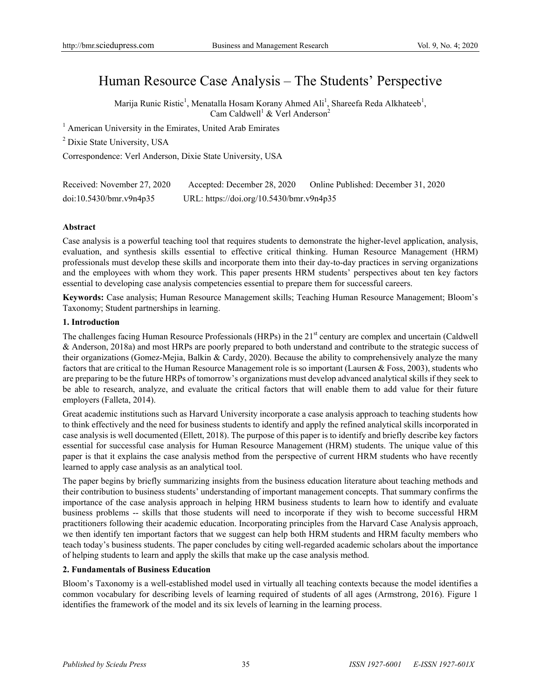# Human Resource Case Analysis – The Students' Perspective

Marija Runic Ristic<sup>1</sup>, Menatalla Hosam Korany Ahmed Ali<sup>1</sup>, Shareefa Reda Alkhateeb<sup>1</sup>, Cam Caldwell<sup>1</sup> & Verl Anderson<sup>2</sup>

<sup>1</sup> American University in the Emirates, United Arab Emirates

<sup>2</sup> Dixie State University, USA

Correspondence: Verl Anderson, Dixie State University, USA

| Received: November 27, 2020 | Accepted: December 28, 2020              | Online Published: December 31, 2020 |
|-----------------------------|------------------------------------------|-------------------------------------|
| doi:10.5430/bmr.v9n4p35     | URL: https://doi.org/10.5430/bmr.v9n4p35 |                                     |

#### **Abstract**

Case analysis is a powerful teaching tool that requires students to demonstrate the higher-level application, analysis, evaluation, and synthesis skills essential to effective critical thinking. Human Resource Management (HRM) professionals must develop these skills and incorporate them into their day-to-day practices in serving organizations and the employees with whom they work. This paper presents HRM students' perspectives about ten key factors essential to developing case analysis competencies essential to prepare them for successful careers.

**Keywords:** Case analysis; Human Resource Management skills; Teaching Human Resource Management; Bloom's Taxonomy; Student partnerships in learning.

#### **1. Introduction**

The challenges facing Human Resource Professionals (HRPs) in the 21<sup>st</sup> century are complex and uncertain (Caldwell & Anderson, 2018a) and most HRPs are poorly prepared to both understand and contribute to the strategic success of their organizations (Gomez-Mejia, Balkin & Cardy, 2020). Because the ability to comprehensively analyze the many factors that are critical to the Human Resource Management role is so important (Laursen & Foss, 2003), students who are preparing to be the future HRPs of tomorrow's organizations must develop advanced analytical skills if they seek to be able to research, analyze, and evaluate the critical factors that will enable them to add value for their future employers (Falleta, 2014).

Great academic institutions such as Harvard University incorporate a case analysis approach to teaching students how to think effectively and the need for business students to identify and apply the refined analytical skills incorporated in case analysis is well documented (Ellett, 2018). The purpose of this paper is to identify and briefly describe key factors essential for successful case analysis for Human Resource Management (HRM) students. The unique value of this paper is that it explains the case analysis method from the perspective of current HRM students who have recently learned to apply case analysis as an analytical tool.

The paper begins by briefly summarizing insights from the business education literature about teaching methods and their contribution to business students' understanding of important management concepts. That summary confirms the importance of the case analysis approach in helping HRM business students to learn how to identify and evaluate business problems -- skills that those students will need to incorporate if they wish to become successful HRM practitioners following their academic education. Incorporating principles from the Harvard Case Analysis approach, we then identify ten important factors that we suggest can help both HRM students and HRM faculty members who teach today's business students. The paper concludes by citing well-regarded academic scholars about the importance of helping students to learn and apply the skills that make up the case analysis method.

## **2. Fundamentals of Business Education**

Bloom's Taxonomy is a well-established model used in virtually all teaching contexts because the model identifies a common vocabulary for describing levels of learning required of students of all ages (Armstrong, 2016). Figure 1 identifies the framework of the model and its six levels of learning in the learning process.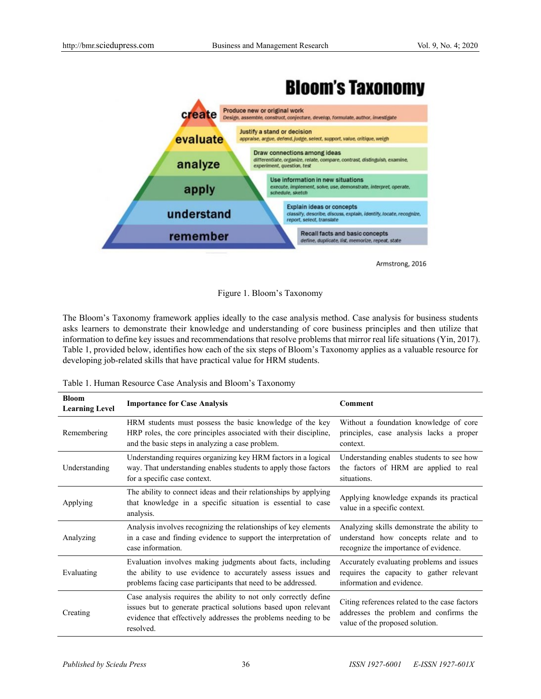



Armstrong, 2016

Figure 1. Bloom's Taxonomy

The Bloom's Taxonomy framework applies ideally to the case analysis method. Case analysis for business students asks learners to demonstrate their knowledge and understanding of core business principles and then utilize that information to define key issues and recommendations that resolve problems that mirror real life situations (Yin, 2017). Table 1, provided below, identifies how each of the six steps of Bloom's Taxonomy applies as a valuable resource for developing job-related skills that have practical value for HRM students.

| <b>Bloom</b><br><b>Learning Level</b> | <b>Importance for Case Analysis</b>                                                                                                                                                                              | Comment                                                                                                                       |
|---------------------------------------|------------------------------------------------------------------------------------------------------------------------------------------------------------------------------------------------------------------|-------------------------------------------------------------------------------------------------------------------------------|
| Remembering                           | HRM students must possess the basic knowledge of the key<br>HRP roles, the core principles associated with their discipline,<br>and the basic steps in analyzing a case problem.                                 | Without a foundation knowledge of core<br>principles, case analysis lacks a proper<br>context.                                |
| Understanding                         | Understanding requires organizing key HRM factors in a logical<br>way. That understanding enables students to apply those factors<br>for a specific case context.                                                | Understanding enables students to see how<br>the factors of HRM are applied to real<br>situations.                            |
| Applying                              | The ability to connect ideas and their relationships by applying<br>that knowledge in a specific situation is essential to case<br>analysis.                                                                     | Applying knowledge expands its practical<br>value in a specific context.                                                      |
| Analyzing                             | Analysis involves recognizing the relationships of key elements<br>in a case and finding evidence to support the interpretation of<br>case information.                                                          | Analyzing skills demonstrate the ability to<br>understand how concepts relate and to<br>recognize the importance of evidence. |
| Evaluating                            | Evaluation involves making judgments about facts, including<br>the ability to use evidence to accurately assess issues and<br>problems facing case participants that need to be addressed.                       | Accurately evaluating problems and issues<br>requires the capacity to gather relevant<br>information and evidence.            |
| Creating                              | Case analysis requires the ability to not only correctly define<br>issues but to generate practical solutions based upon relevant<br>evidence that effectively addresses the problems needing to be<br>resolved. | Citing references related to the case factors<br>addresses the problem and confirms the<br>value of the proposed solution.    |

Table 1. Human Resource Case Analysis and Bloom's Taxonomy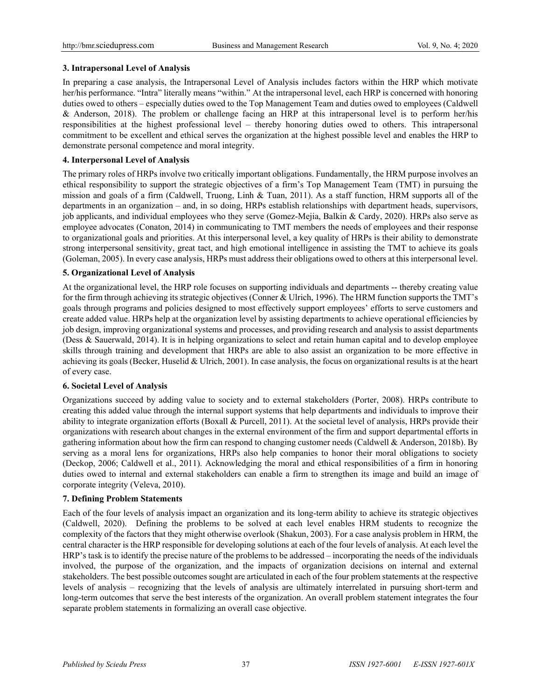# **3. Intrapersonal Level of Analysis**

In preparing a case analysis, the Intrapersonal Level of Analysis includes factors within the HRP which motivate her/his performance. "Intra" literally means "within." At the intrapersonal level, each HRP is concerned with honoring duties owed to others – especially duties owed to the Top Management Team and duties owed to employees (Caldwell & Anderson, 2018). The problem or challenge facing an HRP at this intrapersonal level is to perform her/his responsibilities at the highest professional level – thereby honoring duties owed to others. This intrapersonal commitment to be excellent and ethical serves the organization at the highest possible level and enables the HRP to demonstrate personal competence and moral integrity.

# **4. Interpersonal Level of Analysis**

The primary roles of HRPs involve two critically important obligations. Fundamentally, the HRM purpose involves an ethical responsibility to support the strategic objectives of a firm's Top Management Team (TMT) in pursuing the mission and goals of a firm (Caldwell, Truong, Linh & Tuan, 2011). As a staff function, HRM supports all of the departments in an organization – and, in so doing, HRPs establish relationships with department heads, supervisors, job applicants, and individual employees who they serve (Gomez-Mejia, Balkin & Cardy, 2020). HRPs also serve as employee advocates (Conaton, 2014) in communicating to TMT members the needs of employees and their response to organizational goals and priorities. At this interpersonal level, a key quality of HRPs is their ability to demonstrate strong interpersonal sensitivity, great tact, and high emotional intelligence in assisting the TMT to achieve its goals (Goleman, 2005). In every case analysis, HRPs must address their obligations owed to others at this interpersonal level.

# **5. Organizational Level of Analysis**

At the organizational level, the HRP role focuses on supporting individuals and departments -- thereby creating value for the firm through achieving its strategic objectives (Conner & Ulrich, 1996). The HRM function supports the TMT's goals through programs and policies designed to most effectively support employees' efforts to serve customers and create added value. HRPs help at the organization level by assisting departments to achieve operational efficiencies by job design, improving organizational systems and processes, and providing research and analysis to assist departments (Dess & Sauerwald, 2014). It is in helping organizations to select and retain human capital and to develop employee skills through training and development that HRPs are able to also assist an organization to be more effective in achieving its goals (Becker, Huselid & Ulrich, 2001). In case analysis, the focus on organizational results is at the heart of every case.

## **6. Societal Level of Analysis**

Organizations succeed by adding value to society and to external stakeholders (Porter, 2008). HRPs contribute to creating this added value through the internal support systems that help departments and individuals to improve their ability to integrate organization efforts (Boxall & Purcell, 2011). At the societal level of analysis, HRPs provide their organizations with research about changes in the external environment of the firm and support departmental efforts in gathering information about how the firm can respond to changing customer needs (Caldwell & Anderson, 2018b). By serving as a moral lens for organizations, HRPs also help companies to honor their moral obligations to society (Deckop, 2006; Caldwell et al., 2011). Acknowledging the moral and ethical responsibilities of a firm in honoring duties owed to internal and external stakeholders can enable a firm to strengthen its image and build an image of corporate integrity (Veleva, 2010).

# **7. Defining Problem Statements**

Each of the four levels of analysis impact an organization and its long-term ability to achieve its strategic objectives (Caldwell, 2020). Defining the problems to be solved at each level enables HRM students to recognize the complexity of the factors that they might otherwise overlook (Shakun, 2003). For a case analysis problem in HRM, the central character is the HRP responsible for developing solutions at each of the four levels of analysis. At each level the HRP's task is to identify the precise nature of the problems to be addressed – incorporating the needs of the individuals involved, the purpose of the organization, and the impacts of organization decisions on internal and external stakeholders. The best possible outcomes sought are articulated in each of the four problem statements at the respective levels of analysis – recognizing that the levels of analysis are ultimately interrelated in pursuing short-term and long-term outcomes that serve the best interests of the organization. An overall problem statement integrates the four separate problem statements in formalizing an overall case objective.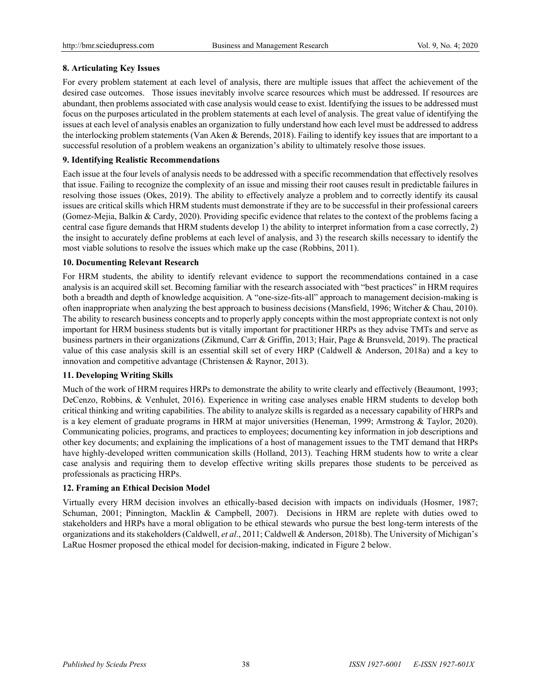# **8. Articulating Key Issues**

For every problem statement at each level of analysis, there are multiple issues that affect the achievement of the desired case outcomes. Those issues inevitably involve scarce resources which must be addressed. If resources are abundant, then problems associated with case analysis would cease to exist. Identifying the issues to be addressed must focus on the purposes articulated in the problem statements at each level of analysis. The great value of identifying the issues at each level of analysis enables an organization to fully understand how each level must be addressed to address the interlocking problem statements (Van Aken & Berends, 2018). Failing to identify key issues that are important to a successful resolution of a problem weakens an organization's ability to ultimately resolve those issues.

# **9. Identifying Realistic Recommendations**

Each issue at the four levels of analysis needs to be addressed with a specific recommendation that effectively resolves that issue. Failing to recognize the complexity of an issue and missing their root causes result in predictable failures in resolving those issues (Okes, 2019). The ability to effectively analyze a problem and to correctly identify its causal issues are critical skills which HRM students must demonstrate if they are to be successful in their professional careers (Gomez-Mejia, Balkin & Cardy, 2020). Providing specific evidence that relates to the context of the problems facing a central case figure demands that HRM students develop 1) the ability to interpret information from a case correctly, 2) the insight to accurately define problems at each level of analysis, and 3) the research skills necessary to identify the most viable solutions to resolve the issues which make up the case (Robbins, 2011).

## **10. Documenting Relevant Research**

For HRM students, the ability to identify relevant evidence to support the recommendations contained in a case analysis is an acquired skill set. Becoming familiar with the research associated with "best practices" in HRM requires both a breadth and depth of knowledge acquisition. A "one-size-fits-all" approach to management decision-making is often inappropriate when analyzing the best approach to business decisions (Mansfield, 1996; Witcher & Chau, 2010). The ability to research business concepts and to properly apply concepts within the most appropriate context is not only important for HRM business students but is vitally important for practitioner HRPs as they advise TMTs and serve as business partners in their organizations (Zikmund, Carr & Griffin, 2013; Hair, Page & Brunsveld, 2019). The practical value of this case analysis skill is an essential skill set of every HRP (Caldwell & Anderson, 2018a) and a key to innovation and competitive advantage (Christensen & Raynor, 2013).

## **11. Developing Writing Skills**

Much of the work of HRM requires HRPs to demonstrate the ability to write clearly and effectively (Beaumont, 1993; DeCenzo, Robbins, & Venhulet, 2016). Experience in writing case analyses enable HRM students to develop both critical thinking and writing capabilities. The ability to analyze skills is regarded as a necessary capability of HRPs and is a key element of graduate programs in HRM at major universities (Heneman, 1999; Armstrong & Taylor, 2020). Communicating policies, programs, and practices to employees; documenting key information in job descriptions and other key documents; and explaining the implications of a host of management issues to the TMT demand that HRPs have highly-developed written communication skills (Holland, 2013). Teaching HRM students how to write a clear case analysis and requiring them to develop effective writing skills prepares those students to be perceived as professionals as practicing HRPs.

# **12. Framing an Ethical Decision Model**

Virtually every HRM decision involves an ethically-based decision with impacts on individuals (Hosmer, 1987; Schuman, 2001; Pinnington, Macklin & Campbell, 2007). Decisions in HRM are replete with duties owed to stakeholders and HRPs have a moral obligation to be ethical stewards who pursue the best long-term interests of the organizations and its stakeholders (Caldwell, *et al*., 2011; Caldwell & Anderson, 2018b). The University of Michigan's LaRue Hosmer proposed the ethical model for decision-making, indicated in Figure 2 below.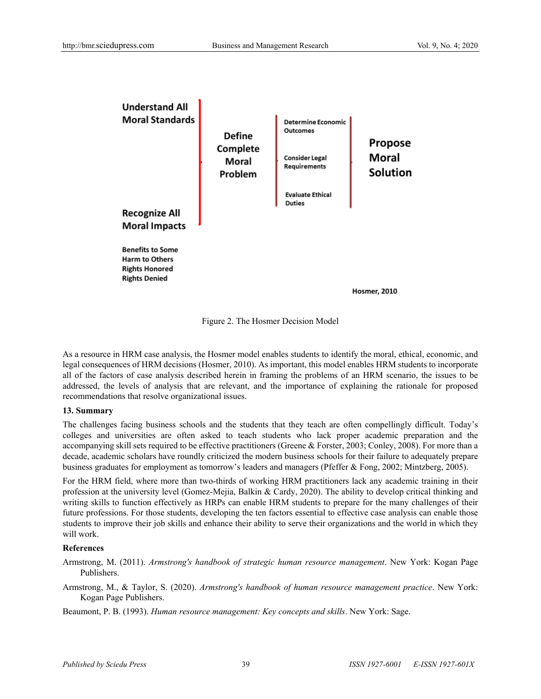

Figure 2. The Hosmer Decision Model

As a resource in HRM case analysis, the Hosmer model enables students to identify the moral, ethical, economic, and legal consequences of HRM decisions (Hosmer, 2010). As important, this model enables HRM students to incorporate all of the factors of case analysis described herein in framing the problems of an HRM scenario, the issues to be addressed, the levels of analysis that are relevant, and the importance of explaining the rationale for proposed recommendations that resolve organizational issues.

#### **13. Summary**

The challenges facing business schools and the students that they teach are often compellingly difficult. Today's colleges and universities are often asked to teach students who lack proper academic preparation and the accompanying skill sets required to be effective practitioners (Greene & Forster, 2003; Conley, 2008). For more than a decade, academic scholars have roundly criticized the modern business schools for their failure to adequately prepare business graduates for employment as tomorrow's leaders and managers (Pfeffer & Fong, 2002; Mintzberg, 2005).

For the HRM field, where more than two-thirds of working HRM practitioners lack any academic training in their profession at the university level (Gomez-Mejia, Balkin & Cardy, 2020). The ability to develop critical thinking and writing skills to function effectively as HRPs can enable HRM students to prepare for the many challenges of their future professions. For those students, developing the ten factors essential to effective case analysis can enable those students to improve their job skills and enhance their ability to serve their organizations and the world in which they will work.

#### **References**

Armstrong, M. (2011). *Armstrong's handbook of strategic human resource management*. New York: Kogan Page Publishers.

Armstrong, M., & Taylor, S. (2020). *Armstrong's handbook of human resource management practice*. New York: Kogan Page Publishers.

Beaumont, P. B. (1993). *Human resource management: Key concepts and skills*. New York: Sage.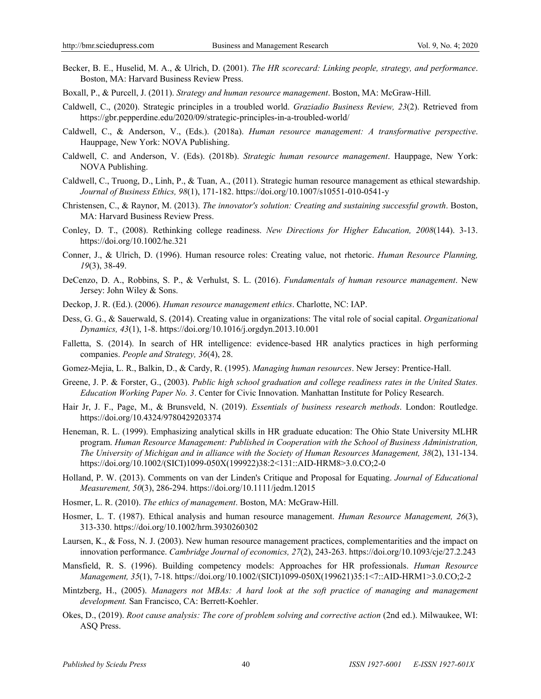- Becker, B. E., Huselid, M. A., & Ulrich, D. (2001). *The HR scorecard: Linking people, strategy, and performance*. Boston, MA: Harvard Business Review Press.
- Boxall, P., & Purcell, J. (2011). *Strategy and human resource management*. Boston, MA: McGraw-Hill.
- Caldwell, C., (2020). Strategic principles in a troubled world. *Graziadio Business Review, 23*(2). Retrieved from https://gbr.pepperdine.edu/2020/09/strategic-principles-in-a-troubled-world/
- Caldwell, C., & Anderson, V., (Eds.). (2018a). *Human resource management: A transformative perspective*. Hauppage, New York: NOVA Publishing.
- Caldwell, C. and Anderson, V. (Eds). (2018b). *Strategic human resource management*. Hauppage, New York: NOVA Publishing.
- Caldwell, C., Truong, D., Linh, P., & Tuan, A., (2011). Strategic human resource management as ethical stewardship. *Journal of Business Ethics, 98*(1), 171-182. https://doi.org/10.1007/s10551-010-0541-y
- Christensen, C., & Raynor, M. (2013). *The innovator's solution: Creating and sustaining successful growth*. Boston, MA: Harvard Business Review Press.
- Conley, D. T., (2008). Rethinking college readiness. *New Directions for Higher Education, 2008*(144). 3-13. https://doi.org/10.1002/he.321
- Conner, J., & Ulrich, D. (1996). Human resource roles: Creating value, not rhetoric. *Human Resource Planning, 19*(3), 38-49.
- DeCenzo, D. A., Robbins, S. P., & Verhulst, S. L. (2016). *Fundamentals of human resource management*. New Jersey: John Wiley & Sons.
- Deckop, J. R. (Ed.). (2006). *Human resource management ethics*. Charlotte, NC: IAP.
- Dess, G. G., & Sauerwald, S. (2014). Creating value in organizations: The vital role of social capital. *Organizational Dynamics, 43*(1), 1-8. https://doi.org/10.1016/j.orgdyn.2013.10.001
- Falletta, S. (2014). In search of HR intelligence: evidence-based HR analytics practices in high performing companies. *People and Strategy, 36*(4), 28.
- Gomez-Mejia, L. R., Balkin, D., & Cardy, R. (1995). *Managing human resources*. New Jersey: Prentice-Hall.
- Greene, J. P. & Forster, G., (2003). *Public high school graduation and college readiness rates in the United States. Education Working Paper No. 3*. Center for Civic Innovation. Manhattan Institute for Policy Research.
- Hair Jr, J. F., Page, M., & Brunsveld, N. (2019). *Essentials of business research methods*. London: Routledge. https://doi.org/10.4324/9780429203374
- Heneman, R. L. (1999). Emphasizing analytical skills in HR graduate education: The Ohio State University MLHR program. *Human Resource Management: Published in Cooperation with the School of Business Administration, The University of Michigan and in alliance with the Society of Human Resources Management, 38*(2), 131-134. https://doi.org/10.1002/(SICI)1099-050X(199922)38:2<131::AID-HRM8>3.0.CO;2-0
- Holland, P. W. (2013). Comments on van der Linden's Critique and Proposal for Equating. *Journal of Educational Measurement, 50*(3), 286-294. https://doi.org/10.1111/jedm.12015
- Hosmer, L. R. (2010). *The ethics of management*. Boston, MA: McGraw-Hill.
- Hosmer, L. T. (1987). Ethical analysis and human resource management. *Human Resource Management, 26*(3), 313-330. https://doi.org/10.1002/hrm.3930260302
- Laursen, K., & Foss, N. J. (2003). New human resource management practices, complementarities and the impact on innovation performance. *Cambridge Journal of economics, 27*(2), 243-263. https://doi.org/10.1093/cje/27.2.243
- Mansfield, R. S. (1996). Building competency models: Approaches for HR professionals. *Human Resource Management, 35*(1), 7-18. https://doi.org/10.1002/(SICI)1099-050X(199621)35:1<7::AID-HRM1>3.0.CO;2-2
- Mintzberg, H., (2005). *Managers not MBAs: A hard look at the soft practice of managing and management development.* San Francisco, CA: Berrett-Koehler.
- Okes, D., (2019). *Root cause analysis: The core of problem solving and corrective action* (2nd ed.). Milwaukee, WI: ASQ Press.